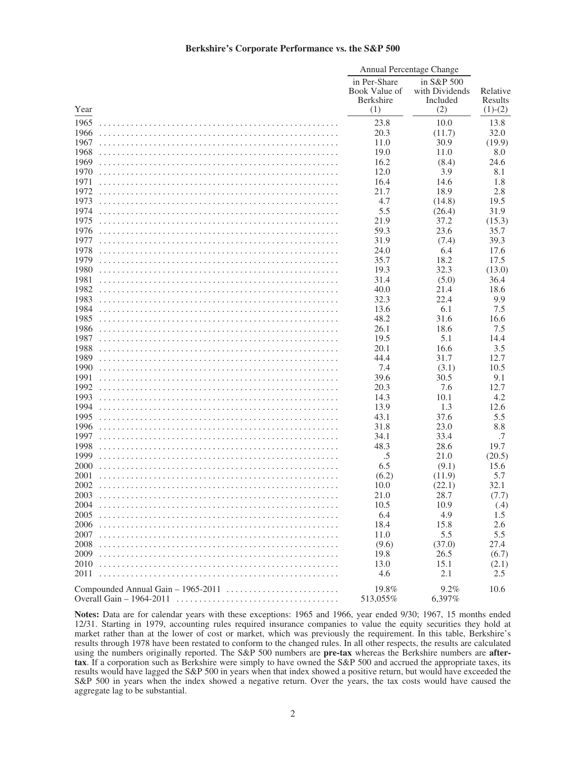|      | Annual Percentage Change                          |                                                 |                                  |
|------|---------------------------------------------------|-------------------------------------------------|----------------------------------|
| Year | in Per-Share<br>Book Value of<br>Berkshire<br>(1) | in S&P 500<br>with Dividends<br>Included<br>(2) | Relative<br>Results<br>$(1)-(2)$ |
| 1965 | 23.8                                              | 10.0                                            | 13.8                             |
| 1966 | 20.3                                              | (11.7)                                          | 32.0                             |
| 1967 | 11.0                                              | 30.9                                            | (19.9)                           |
| 1968 | 19.0                                              | 11.0                                            | 8.0                              |
| 1969 | 16.2                                              | (8.4)                                           | 24.6                             |
| 1970 | 12.0                                              | 3.9                                             | 8.1                              |
| 1971 | 16.4                                              | 14.6                                            | 1.8                              |
| 1972 | 21.7                                              | 18.9                                            | 2.8                              |
| 1973 | 4.7                                               | (14.8)                                          | 19.5                             |
| 1974 | 5.5                                               | (26.4)                                          | 31.9                             |
| 1975 | 21.9                                              | 37.2                                            | (15.3)                           |
| 1976 | 59.3                                              | 23.6                                            | 35.7                             |
| 1977 | 31.9                                              | (7.4)                                           | 39.3                             |
| 1978 | 24.0                                              | 6.4                                             | 17.6                             |
| 1979 | 35.7                                              | 18.2                                            | 17.5                             |
| 1980 | 19.3                                              | 32.3                                            | (13.0)                           |
| 1981 | 31.4                                              | (5.0)                                           | 36.4                             |
| 1982 | 40.0                                              | 21.4                                            | 18.6                             |
| 1983 | 32.3                                              | 22.4                                            | 9.9                              |
| 1984 | 13.6                                              | 6.1                                             | 7.5                              |
| 1985 | 48.2                                              | 31.6                                            | 16.6                             |
| 1986 | 26.1                                              | 18.6                                            | 7.5                              |
| 1987 | 19.5                                              | 5.1                                             | 14.4                             |
| 1988 | 20.1                                              | 16.6                                            | 3.5                              |
| 1989 | 44.4                                              | 31.7                                            | 12.7                             |
| 1990 | 7.4                                               | (3.1)                                           | 10.5                             |
| 1991 | 39.6                                              | 30.5                                            | 9.1                              |
| 1992 | 20.3                                              | 7.6                                             | 12.7                             |
| 1993 | 14.3                                              | 10.1                                            | 4.2                              |
| 1994 | 13.9                                              | 1.3                                             | 12.6                             |
| 1995 | 43.1                                              | 37.6                                            | 5.5                              |
| 1996 | 31.8                                              | 23.0                                            | 8.8                              |
| 1997 | 34.1                                              | 33.4                                            | .7                               |
| 1998 | 48.3                                              | 28.6                                            | 19.7                             |
| 1999 | .5                                                | 21.0                                            | (20.5)                           |
| 2000 | 6.5                                               | (9.1)                                           | 15.6                             |
| 2001 | (6.2)                                             | (11.9)                                          | 5.7                              |
| 2002 | 10.0                                              | (22.1)                                          | 32.1                             |
| 2003 | 21.0                                              | 28.7                                            | (7.7)                            |
| 2004 | 10.5                                              | 10.9                                            | (.4)                             |
| 2005 | 6.4                                               | 4.9                                             | 1.5                              |
| 2006 | 18.4                                              | 15.8                                            | 2.6                              |
| 2007 | 11.0                                              | 5.5                                             | 5.5                              |
| 2008 | (9.6)                                             | (37.0)                                          | 27.4                             |
| 2009 | 19.8                                              | 26.5                                            | (6.7)                            |
| 2010 | 13.0                                              | 15.1                                            | (2.1)                            |
| 2011 | 4.6                                               | 2.1                                             | 2.5                              |
|      |                                                   |                                                 |                                  |
|      | 19.8%<br>513,055%                                 | 9.2%<br>6,397%                                  | 10.6                             |

**Notes:** Data are for calendar years with these exceptions: 1965 and 1966, year ended 9/30; 1967, 15 months ended 12/31. Starting in 1979, accounting rules required insurance companies to value the equity securities they hold at market rather than at the lower of cost or market, which was previously the requirement. In this table, Berkshire's results through 1978 have been restated to conform to the changed rules. In all other respects, the results are calculated using the numbers originally reported. The S&P 500 numbers are **pre-tax** whereas the Berkshire numbers are **aftertax**. If a corporation such as Berkshire were simply to have owned the S&P 500 and accrued the appropriate taxes, its results would have lagged the S&P 500 in years when that index showed a positive return, but would have exceeded the S&P 500 in years when the index showed a negative return. Over the years, the tax costs would have caused the aggregate lag to be substantial.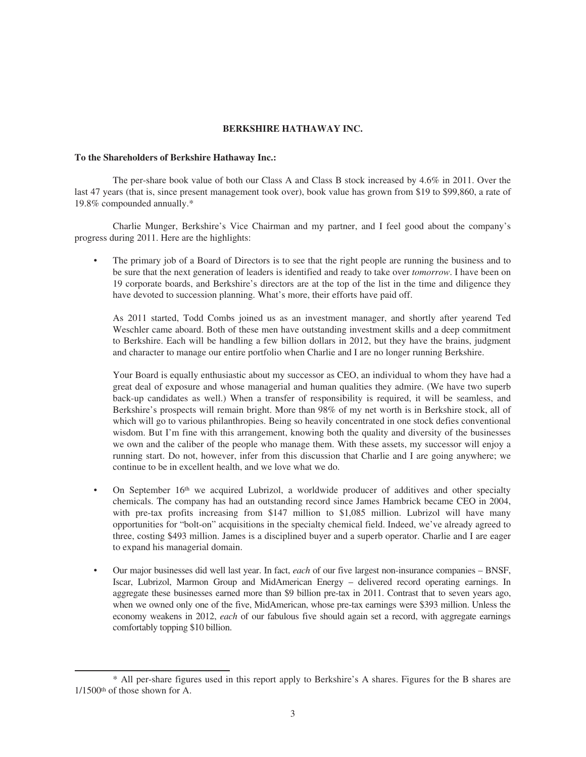## **BERKSHIRE HATHAWAY INC.**

### **To the Shareholders of Berkshire Hathaway Inc.:**

The per-share book value of both our Class A and Class B stock increased by 4.6% in 2011. Over the last 47 years (that is, since present management took over), book value has grown from \$19 to \$99,860, a rate of 19.8% compounded annually.\*

Charlie Munger, Berkshire's Vice Chairman and my partner, and I feel good about the company's progress during 2011. Here are the highlights:

The primary job of a Board of Directors is to see that the right people are running the business and to be sure that the next generation of leaders is identified and ready to take over *tomorrow*. I have been on 19 corporate boards, and Berkshire's directors are at the top of the list in the time and diligence they have devoted to succession planning. What's more, their efforts have paid off.

As 2011 started, Todd Combs joined us as an investment manager, and shortly after yearend Ted Weschler came aboard. Both of these men have outstanding investment skills and a deep commitment to Berkshire. Each will be handling a few billion dollars in 2012, but they have the brains, judgment and character to manage our entire portfolio when Charlie and I are no longer running Berkshire.

Your Board is equally enthusiastic about my successor as CEO, an individual to whom they have had a great deal of exposure and whose managerial and human qualities they admire. (We have two superb back-up candidates as well.) When a transfer of responsibility is required, it will be seamless, and Berkshire's prospects will remain bright. More than 98% of my net worth is in Berkshire stock, all of which will go to various philanthropies. Being so heavily concentrated in one stock defies conventional wisdom. But I'm fine with this arrangement, knowing both the quality and diversity of the businesses we own and the caliber of the people who manage them. With these assets, my successor will enjoy a running start. Do not, however, infer from this discussion that Charlie and I are going anywhere; we continue to be in excellent health, and we love what we do.

- On September  $16<sup>th</sup>$  we acquired Lubrizol, a worldwide producer of additives and other specialty chemicals. The company has had an outstanding record since James Hambrick became CEO in 2004, with pre-tax profits increasing from \$147 million to \$1,085 million. Lubrizol will have many opportunities for "bolt-on" acquisitions in the specialty chemical field. Indeed, we've already agreed to three, costing \$493 million. James is a disciplined buyer and a superb operator. Charlie and I are eager to expand his managerial domain.
- Our major businesses did well last year. In fact, *each* of our five largest non-insurance companies BNSF, Iscar, Lubrizol, Marmon Group and MidAmerican Energy – delivered record operating earnings. In aggregate these businesses earned more than \$9 billion pre-tax in 2011. Contrast that to seven years ago, when we owned only one of the five, MidAmerican, whose pre-tax earnings were \$393 million. Unless the economy weakens in 2012, *each* of our fabulous five should again set a record, with aggregate earnings comfortably topping \$10 billion.

<sup>\*</sup> All per-share figures used in this report apply to Berkshire's A shares. Figures for the B shares are 1/1500th of those shown for A.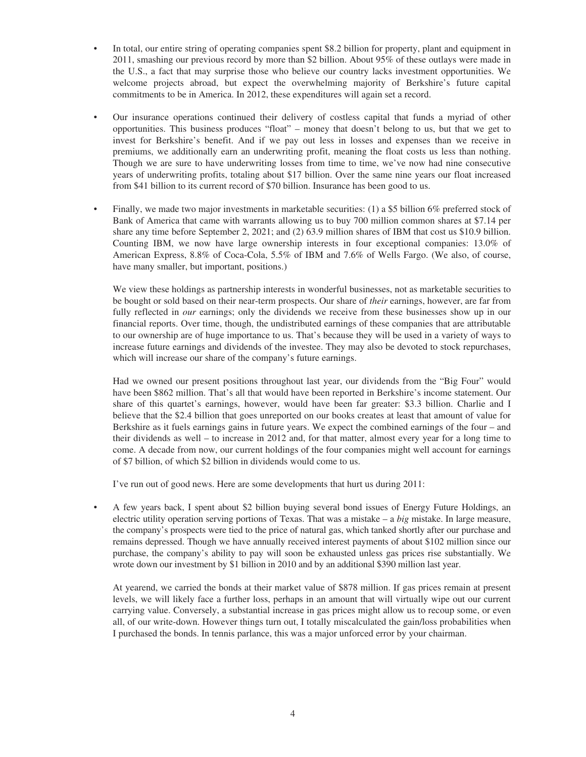- In total, our entire string of operating companies spent \$8.2 billion for property, plant and equipment in 2011, smashing our previous record by more than \$2 billion. About 95% of these outlays were made in the U.S., a fact that may surprise those who believe our country lacks investment opportunities. We welcome projects abroad, but expect the overwhelming majority of Berkshire's future capital commitments to be in America. In 2012, these expenditures will again set a record.
- Our insurance operations continued their delivery of costless capital that funds a myriad of other opportunities. This business produces "float" – money that doesn't belong to us, but that we get to invest for Berkshire's benefit. And if we pay out less in losses and expenses than we receive in premiums, we additionally earn an underwriting profit, meaning the float costs us less than nothing. Though we are sure to have underwriting losses from time to time, we've now had nine consecutive years of underwriting profits, totaling about \$17 billion. Over the same nine years our float increased from \$41 billion to its current record of \$70 billion. Insurance has been good to us.
- Finally, we made two major investments in marketable securities: (1) a \$5 billion 6% preferred stock of Bank of America that came with warrants allowing us to buy 700 million common shares at \$7.14 per share any time before September 2, 2021; and (2) 63.9 million shares of IBM that cost us \$10.9 billion. Counting IBM, we now have large ownership interests in four exceptional companies: 13.0% of American Express, 8.8% of Coca-Cola, 5.5% of IBM and 7.6% of Wells Fargo. (We also, of course, have many smaller, but important, positions.)

We view these holdings as partnership interests in wonderful businesses, not as marketable securities to be bought or sold based on their near-term prospects. Our share of *their* earnings, however, are far from fully reflected in *our* earnings; only the dividends we receive from these businesses show up in our financial reports. Over time, though, the undistributed earnings of these companies that are attributable to our ownership are of huge importance to us. That's because they will be used in a variety of ways to increase future earnings and dividends of the investee. They may also be devoted to stock repurchases, which will increase our share of the company's future earnings.

Had we owned our present positions throughout last year, our dividends from the "Big Four" would have been \$862 million. That's all that would have been reported in Berkshire's income statement. Our share of this quartet's earnings, however, would have been far greater: \$3.3 billion. Charlie and I believe that the \$2.4 billion that goes unreported on our books creates at least that amount of value for Berkshire as it fuels earnings gains in future years. We expect the combined earnings of the four – and their dividends as well – to increase in 2012 and, for that matter, almost every year for a long time to come. A decade from now, our current holdings of the four companies might well account for earnings of \$7 billion, of which \$2 billion in dividends would come to us.

I've run out of good news. Here are some developments that hurt us during 2011:

• A few years back, I spent about \$2 billion buying several bond issues of Energy Future Holdings, an electric utility operation serving portions of Texas. That was a mistake – a *big* mistake. In large measure, the company's prospects were tied to the price of natural gas, which tanked shortly after our purchase and remains depressed. Though we have annually received interest payments of about \$102 million since our purchase, the company's ability to pay will soon be exhausted unless gas prices rise substantially. We wrote down our investment by \$1 billion in 2010 and by an additional \$390 million last year.

At yearend, we carried the bonds at their market value of \$878 million. If gas prices remain at present levels, we will likely face a further loss, perhaps in an amount that will virtually wipe out our current carrying value. Conversely, a substantial increase in gas prices might allow us to recoup some, or even all, of our write-down. However things turn out, I totally miscalculated the gain/loss probabilities when I purchased the bonds. In tennis parlance, this was a major unforced error by your chairman.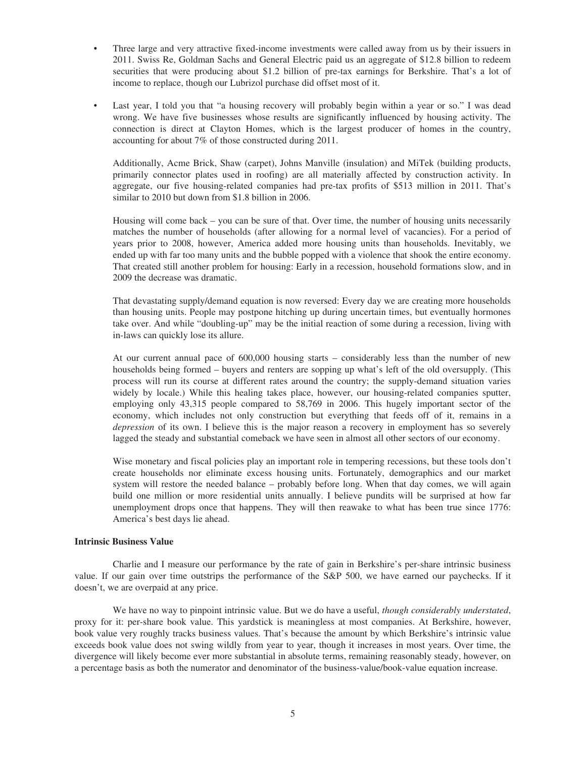- Three large and very attractive fixed-income investments were called away from us by their issuers in 2011. Swiss Re, Goldman Sachs and General Electric paid us an aggregate of \$12.8 billion to redeem securities that were producing about \$1.2 billion of pre-tax earnings for Berkshire. That's a lot of income to replace, though our Lubrizol purchase did offset most of it.
- Last year, I told you that "a housing recovery will probably begin within a year or so." I was dead wrong. We have five businesses whose results are significantly influenced by housing activity. The connection is direct at Clayton Homes, which is the largest producer of homes in the country, accounting for about 7% of those constructed during 2011.

Additionally, Acme Brick, Shaw (carpet), Johns Manville (insulation) and MiTek (building products, primarily connector plates used in roofing) are all materially affected by construction activity. In aggregate, our five housing-related companies had pre-tax profits of \$513 million in 2011. That's similar to 2010 but down from \$1.8 billion in 2006.

Housing will come back – you can be sure of that. Over time, the number of housing units necessarily matches the number of households (after allowing for a normal level of vacancies). For a period of years prior to 2008, however, America added more housing units than households. Inevitably, we ended up with far too many units and the bubble popped with a violence that shook the entire economy. That created still another problem for housing: Early in a recession, household formations slow, and in 2009 the decrease was dramatic.

That devastating supply/demand equation is now reversed: Every day we are creating more households than housing units. People may postpone hitching up during uncertain times, but eventually hormones take over. And while "doubling-up" may be the initial reaction of some during a recession, living with in-laws can quickly lose its allure.

At our current annual pace of 600,000 housing starts – considerably less than the number of new households being formed – buyers and renters are sopping up what's left of the old oversupply. (This process will run its course at different rates around the country; the supply-demand situation varies widely by locale.) While this healing takes place, however, our housing-related companies sputter, employing only 43,315 people compared to 58,769 in 2006. This hugely important sector of the economy, which includes not only construction but everything that feeds off of it, remains in a *depression* of its own. I believe this is the major reason a recovery in employment has so severely lagged the steady and substantial comeback we have seen in almost all other sectors of our economy.

Wise monetary and fiscal policies play an important role in tempering recessions, but these tools don't create households nor eliminate excess housing units. Fortunately, demographics and our market system will restore the needed balance – probably before long. When that day comes, we will again build one million or more residential units annually. I believe pundits will be surprised at how far unemployment drops once that happens. They will then reawake to what has been true since 1776: America's best days lie ahead.

## **Intrinsic Business Value**

Charlie and I measure our performance by the rate of gain in Berkshire's per-share intrinsic business value. If our gain over time outstrips the performance of the S&P 500, we have earned our paychecks. If it doesn't, we are overpaid at any price.

We have no way to pinpoint intrinsic value. But we do have a useful, *though considerably understated*, proxy for it: per-share book value. This yardstick is meaningless at most companies. At Berkshire, however, book value very roughly tracks business values. That's because the amount by which Berkshire's intrinsic value exceeds book value does not swing wildly from year to year, though it increases in most years. Over time, the divergence will likely become ever more substantial in absolute terms, remaining reasonably steady, however, on a percentage basis as both the numerator and denominator of the business-value/book-value equation increase.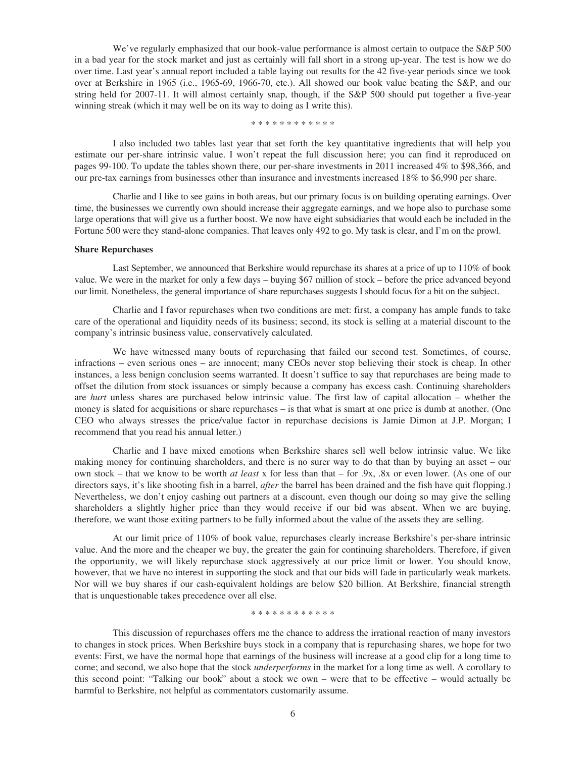We've regularly emphasized that our book-value performance is almost certain to outpace the S&P 500 in a bad year for the stock market and just as certainly will fall short in a strong up-year. The test is how we do over time. Last year's annual report included a table laying out results for the 42 five-year periods since we took over at Berkshire in 1965 (i.e., 1965-69, 1966-70, etc.). All showed our book value beating the S&P, and our string held for 2007-11. It will almost certainly snap, though, if the S&P 500 should put together a five-year winning streak (which it may well be on its way to doing as I write this).

\*\*\*\*\*\*\*\*\*\*\*\*

I also included two tables last year that set forth the key quantitative ingredients that will help you estimate our per-share intrinsic value. I won't repeat the full discussion here; you can find it reproduced on pages 99-100. To update the tables shown there, our per-share investments in 2011 increased 4% to \$98,366, and our pre-tax earnings from businesses other than insurance and investments increased 18% to \$6,990 per share.

Charlie and I like to see gains in both areas, but our primary focus is on building operating earnings. Over time, the businesses we currently own should increase their aggregate earnings, and we hope also to purchase some large operations that will give us a further boost. We now have eight subsidiaries that would each be included in the Fortune 500 were they stand-alone companies. That leaves only 492 to go. My task is clear, and I'm on the prowl.

## **Share Repurchases**

Last September, we announced that Berkshire would repurchase its shares at a price of up to 110% of book value. We were in the market for only a few days – buying \$67 million of stock – before the price advanced beyond our limit. Nonetheless, the general importance of share repurchases suggests I should focus for a bit on the subject.

Charlie and I favor repurchases when two conditions are met: first, a company has ample funds to take care of the operational and liquidity needs of its business; second, its stock is selling at a material discount to the company's intrinsic business value, conservatively calculated.

We have witnessed many bouts of repurchasing that failed our second test. Sometimes, of course, infractions – even serious ones – are innocent; many CEOs never stop believing their stock is cheap. In other instances, a less benign conclusion seems warranted. It doesn't suffice to say that repurchases are being made to offset the dilution from stock issuances or simply because a company has excess cash. Continuing shareholders are *hurt* unless shares are purchased below intrinsic value. The first law of capital allocation – whether the money is slated for acquisitions or share repurchases – is that what is smart at one price is dumb at another. (One CEO who always stresses the price/value factor in repurchase decisions is Jamie Dimon at J.P. Morgan; I recommend that you read his annual letter.)

Charlie and I have mixed emotions when Berkshire shares sell well below intrinsic value. We like making money for continuing shareholders, and there is no surer way to do that than by buying an asset – our own stock – that we know to be worth *at least* x for less than that – for .9x, .8x or even lower. (As one of our directors says, it's like shooting fish in a barrel, *after* the barrel has been drained and the fish have quit flopping.) Nevertheless, we don't enjoy cashing out partners at a discount, even though our doing so may give the selling shareholders a slightly higher price than they would receive if our bid was absent. When we are buying, therefore, we want those exiting partners to be fully informed about the value of the assets they are selling.

At our limit price of 110% of book value, repurchases clearly increase Berkshire's per-share intrinsic value. And the more and the cheaper we buy, the greater the gain for continuing shareholders. Therefore, if given the opportunity, we will likely repurchase stock aggressively at our price limit or lower. You should know, however, that we have no interest in supporting the stock and that our bids will fade in particularly weak markets. Nor will we buy shares if our cash-equivalent holdings are below \$20 billion. At Berkshire, financial strength that is unquestionable takes precedence over all else.

\*\*\*\*\*\*\*\*\*\*

This discussion of repurchases offers me the chance to address the irrational reaction of many investors to changes in stock prices. When Berkshire buys stock in a company that is repurchasing shares, we hope for two events: First, we have the normal hope that earnings of the business will increase at a good clip for a long time to come; and second, we also hope that the stock *underperforms* in the market for a long time as well. A corollary to this second point: "Talking our book" about a stock we own – were that to be effective – would actually be harmful to Berkshire, not helpful as commentators customarily assume.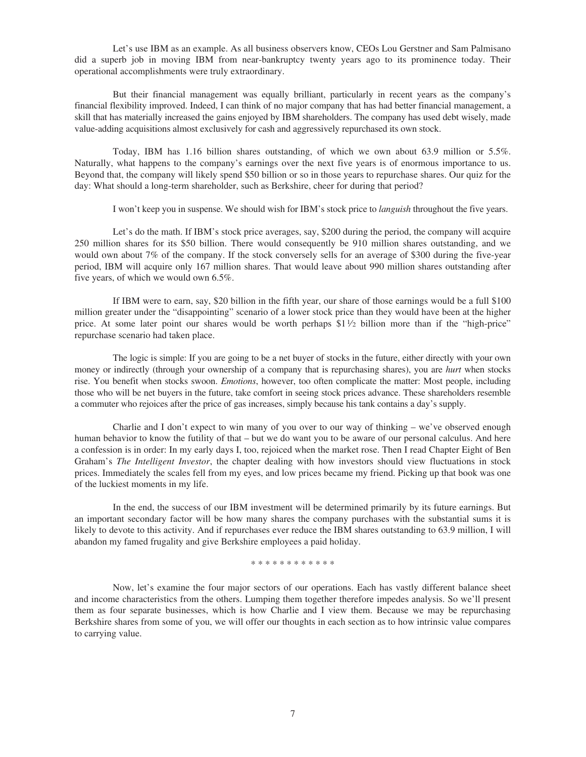Let's use IBM as an example. As all business observers know, CEOs Lou Gerstner and Sam Palmisano did a superb job in moving IBM from near-bankruptcy twenty years ago to its prominence today. Their operational accomplishments were truly extraordinary.

But their financial management was equally brilliant, particularly in recent years as the company's financial flexibility improved. Indeed, I can think of no major company that has had better financial management, a skill that has materially increased the gains enjoyed by IBM shareholders. The company has used debt wisely, made value-adding acquisitions almost exclusively for cash and aggressively repurchased its own stock.

Today, IBM has 1.16 billion shares outstanding, of which we own about 63.9 million or 5.5%. Naturally, what happens to the company's earnings over the next five years is of enormous importance to us. Beyond that, the company will likely spend \$50 billion or so in those years to repurchase shares. Our quiz for the day: What should a long-term shareholder, such as Berkshire, cheer for during that period?

I won't keep you in suspense. We should wish for IBM's stock price to *languish* throughout the five years.

Let's do the math. If IBM's stock price averages, say, \$200 during the period, the company will acquire 250 million shares for its \$50 billion. There would consequently be 910 million shares outstanding, and we would own about 7% of the company. If the stock conversely sells for an average of \$300 during the five-year period, IBM will acquire only 167 million shares. That would leave about 990 million shares outstanding after five years, of which we would own 6.5%.

If IBM were to earn, say, \$20 billion in the fifth year, our share of those earnings would be a full \$100 million greater under the "disappointing" scenario of a lower stock price than they would have been at the higher price. At some later point our shares would be worth perhaps  $$1\frac{1}{2}$  billion more than if the "high-price" repurchase scenario had taken place.

The logic is simple: If you are going to be a net buyer of stocks in the future, either directly with your own money or indirectly (through your ownership of a company that is repurchasing shares), you are *hurt* when stocks rise. You benefit when stocks swoon. *Emotions*, however, too often complicate the matter: Most people, including those who will be net buyers in the future, take comfort in seeing stock prices advance. These shareholders resemble a commuter who rejoices after the price of gas increases, simply because his tank contains a day's supply.

Charlie and I don't expect to win many of you over to our way of thinking – we've observed enough human behavior to know the futility of that – but we do want you to be aware of our personal calculus. And here a confession is in order: In my early days I, too, rejoiced when the market rose. Then I read Chapter Eight of Ben Graham's *The Intelligent Investor*, the chapter dealing with how investors should view fluctuations in stock prices. Immediately the scales fell from my eyes, and low prices became my friend. Picking up that book was one of the luckiest moments in my life.

In the end, the success of our IBM investment will be determined primarily by its future earnings. But an important secondary factor will be how many shares the company purchases with the substantial sums it is likely to devote to this activity. And if repurchases ever reduce the IBM shares outstanding to 63.9 million, I will abandon my famed frugality and give Berkshire employees a paid holiday.

\*\*\*\*\*\*\*\*\*\*\*\*

Now, let's examine the four major sectors of our operations. Each has vastly different balance sheet and income characteristics from the others. Lumping them together therefore impedes analysis. So we'll present them as four separate businesses, which is how Charlie and I view them. Because we may be repurchasing Berkshire shares from some of you, we will offer our thoughts in each section as to how intrinsic value compares to carrying value.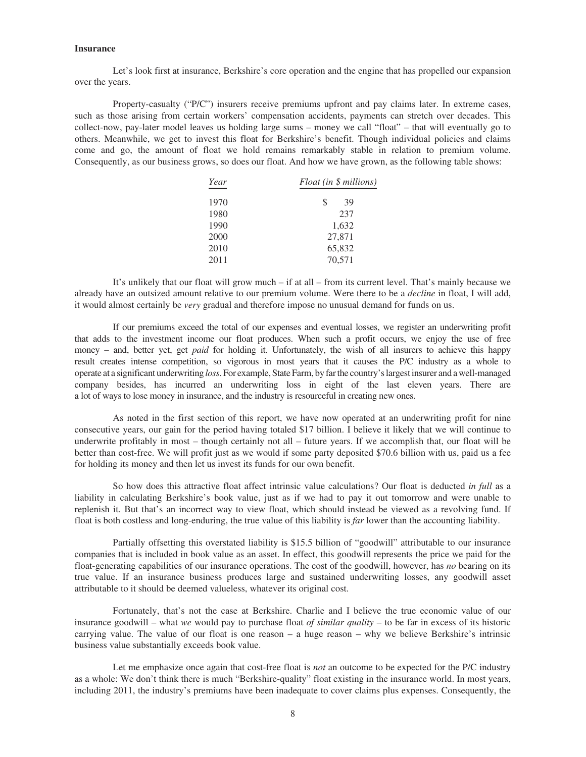#### **Insurance**

Let's look first at insurance, Berkshire's core operation and the engine that has propelled our expansion over the years.

Property-casualty ("P/C") insurers receive premiums upfront and pay claims later. In extreme cases, such as those arising from certain workers' compensation accidents, payments can stretch over decades. This collect-now, pay-later model leaves us holding large sums – money we call "float" – that will eventually go to others. Meanwhile, we get to invest this float for Berkshire's benefit. Though individual policies and claims come and go, the amount of float we hold remains remarkably stable in relation to premium volume. Consequently, as our business grows, so does our float. And how we have grown, as the following table shows:

| Year | Float (in \$ millions) |
|------|------------------------|
| 1970 | S<br>39                |
| 1980 | 237                    |
| 1990 | 1,632                  |
| 2000 | 27,871                 |
| 2010 | 65,832                 |
| 2011 | 70,571                 |

It's unlikely that our float will grow much – if at all – from its current level. That's mainly because we already have an outsized amount relative to our premium volume. Were there to be a *decline* in float, I will add, it would almost certainly be *very* gradual and therefore impose no unusual demand for funds on us.

If our premiums exceed the total of our expenses and eventual losses, we register an underwriting profit that adds to the investment income our float produces. When such a profit occurs, we enjoy the use of free money – and, better yet, get *paid* for holding it. Unfortunately, the wish of all insurers to achieve this happy result creates intense competition, so vigorous in most years that it causes the P/C industry as a whole to operate at a significant underwriting *loss*. For example, State Farm, by farthe country'slargestinsurer and a well-managed company besides, has incurred an underwriting loss in eight of the last eleven years. There are a lot of ways to lose money in insurance, and the industry is resourceful in creating new ones.

As noted in the first section of this report, we have now operated at an underwriting profit for nine consecutive years, our gain for the period having totaled \$17 billion. I believe it likely that we will continue to underwrite profitably in most – though certainly not all – future years. If we accomplish that, our float will be better than cost-free. We will profit just as we would if some party deposited \$70.6 billion with us, paid us a fee for holding its money and then let us invest its funds for our own benefit.

So how does this attractive float affect intrinsic value calculations? Our float is deducted *in full* as a liability in calculating Berkshire's book value, just as if we had to pay it out tomorrow and were unable to replenish it. But that's an incorrect way to view float, which should instead be viewed as a revolving fund. If float is both costless and long-enduring, the true value of this liability is *far* lower than the accounting liability.

Partially offsetting this overstated liability is \$15.5 billion of "goodwill" attributable to our insurance companies that is included in book value as an asset. In effect, this goodwill represents the price we paid for the float-generating capabilities of our insurance operations. The cost of the goodwill, however, has *no* bearing on its true value. If an insurance business produces large and sustained underwriting losses, any goodwill asset attributable to it should be deemed valueless, whatever its original cost.

Fortunately, that's not the case at Berkshire. Charlie and I believe the true economic value of our insurance goodwill – what *we* would pay to purchase float *of similar quality* – to be far in excess of its historic carrying value. The value of our float is one reason – a huge reason – why we believe Berkshire's intrinsic business value substantially exceeds book value.

Let me emphasize once again that cost-free float is *not* an outcome to be expected for the P/C industry as a whole: We don't think there is much "Berkshire-quality" float existing in the insurance world. In most years, including 2011, the industry's premiums have been inadequate to cover claims plus expenses. Consequently, the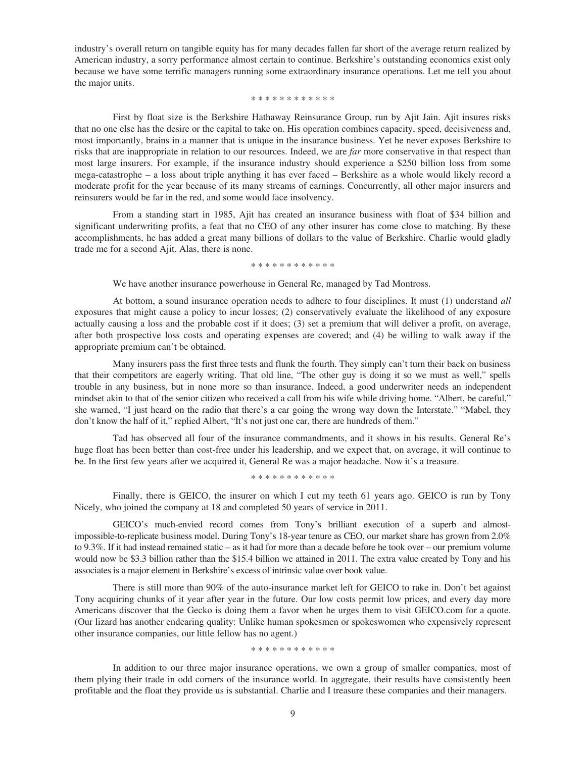industry's overall return on tangible equity has for many decades fallen far short of the average return realized by American industry, a sorry performance almost certain to continue. Berkshire's outstanding economics exist only because we have some terrific managers running some extraordinary insurance operations. Let me tell you about the major units.

\*\*\*\*\*\*\*\*\*\*\*\*

First by float size is the Berkshire Hathaway Reinsurance Group, run by Ajit Jain. Ajit insures risks that no one else has the desire or the capital to take on. His operation combines capacity, speed, decisiveness and, most importantly, brains in a manner that is unique in the insurance business. Yet he never exposes Berkshire to risks that are inappropriate in relation to our resources. Indeed, we are *far* more conservative in that respect than most large insurers. For example, if the insurance industry should experience a \$250 billion loss from some mega-catastrophe – a loss about triple anything it has ever faced – Berkshire as a whole would likely record a moderate profit for the year because of its many streams of earnings. Concurrently, all other major insurers and reinsurers would be far in the red, and some would face insolvency.

From a standing start in 1985, Ajit has created an insurance business with float of \$34 billion and significant underwriting profits, a feat that no CEO of any other insurer has come close to matching. By these accomplishments, he has added a great many billions of dollars to the value of Berkshire. Charlie would gladly trade me for a second Ajit. Alas, there is none.

\*\*\*\*\*\*\*\*\*\*\*\*

We have another insurance powerhouse in General Re, managed by Tad Montross.

At bottom, a sound insurance operation needs to adhere to four disciplines. It must (1) understand *all* exposures that might cause a policy to incur losses; (2) conservatively evaluate the likelihood of any exposure actually causing a loss and the probable cost if it does; (3) set a premium that will deliver a profit, on average, after both prospective loss costs and operating expenses are covered; and (4) be willing to walk away if the appropriate premium can't be obtained.

Many insurers pass the first three tests and flunk the fourth. They simply can't turn their back on business that their competitors are eagerly writing. That old line, "The other guy is doing it so we must as well," spells trouble in any business, but in none more so than insurance. Indeed, a good underwriter needs an independent mindset akin to that of the senior citizen who received a call from his wife while driving home. "Albert, be careful," she warned, "I just heard on the radio that there's a car going the wrong way down the Interstate." "Mabel, they don't know the half of it," replied Albert, "It's not just one car, there are hundreds of them."

Tad has observed all four of the insurance commandments, and it shows in his results. General Re's huge float has been better than cost-free under his leadership, and we expect that, on average, it will continue to be. In the first few years after we acquired it, General Re was a major headache. Now it's a treasure.

\*\*\*\*\*\*\*\*\*\*\*\*

Finally, there is GEICO, the insurer on which I cut my teeth 61 years ago. GEICO is run by Tony Nicely, who joined the company at 18 and completed 50 years of service in 2011.

GEICO's much-envied record comes from Tony's brilliant execution of a superb and almostimpossible-to-replicate business model. During Tony's 18-year tenure as CEO, our market share has grown from 2.0% to 9.3%. If it had instead remained static – as it had for more than a decade before he took over – our premium volume would now be \$3.3 billion rather than the \$15.4 billion we attained in 2011. The extra value created by Tony and his associates is a major element in Berkshire's excess of intrinsic value over book value.

There is still more than 90% of the auto-insurance market left for GEICO to rake in. Don't bet against Tony acquiring chunks of it year after year in the future. Our low costs permit low prices, and every day more Americans discover that the Gecko is doing them a favor when he urges them to visit GEICO.com for a quote. (Our lizard has another endearing quality: Unlike human spokesmen or spokeswomen who expensively represent other insurance companies, our little fellow has no agent.)

\*\*\*\*\*\*\*\*\*\*\*\*

In addition to our three major insurance operations, we own a group of smaller companies, most of them plying their trade in odd corners of the insurance world. In aggregate, their results have consistently been profitable and the float they provide us is substantial. Charlie and I treasure these companies and their managers.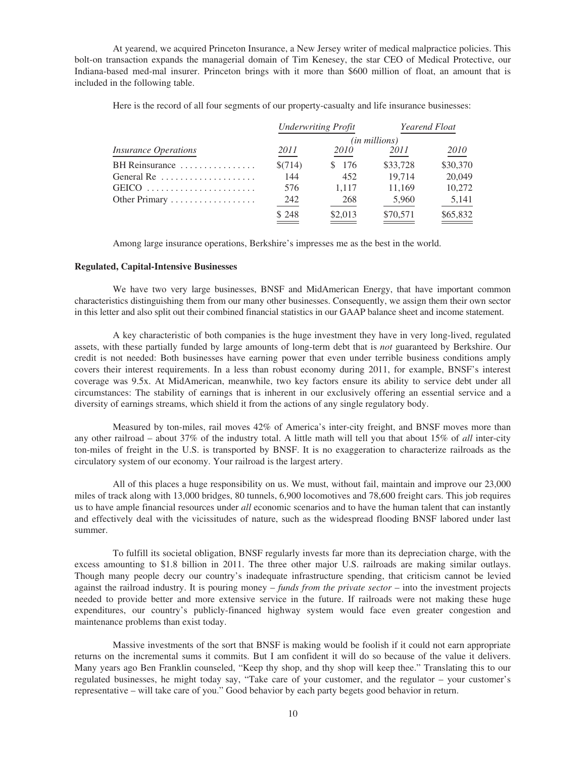At yearend, we acquired Princeton Insurance, a New Jersey writer of medical malpractice policies. This bolt-on transaction expands the managerial domain of Tim Kenesey, the star CEO of Medical Protective, our Indiana-based med-mal insurer. Princeton brings with it more than \$600 million of float, an amount that is included in the following table.

Here is the record of all four segments of our property-casualty and life insurance businesses:

|                                    |                        | <b>Underwriting Profit</b> |          | Yearend Float |  |
|------------------------------------|------------------------|----------------------------|----------|---------------|--|
|                                    | ( <i>in millions</i> ) |                            |          |               |  |
| <i><b>Insurance Operations</b></i> | 2011                   | 2010                       | 2011     | 2010          |  |
| BH Reinsurance                     | \$(714)                | \$176                      | \$33,728 | \$30,370      |  |
| General Re                         | 144                    | 452                        | 19.714   | 20,049        |  |
| $GEICO$                            | 576                    | 1.117                      | 11,169   | 10,272        |  |
|                                    | 242                    | 268                        | 5,960    | 5,141         |  |
|                                    | \$248                  | \$2,013                    | \$70,571 | \$65,832      |  |

Among large insurance operations, Berkshire's impresses me as the best in the world.

#### **Regulated, Capital-Intensive Businesses**

We have two very large businesses, BNSF and MidAmerican Energy, that have important common characteristics distinguishing them from our many other businesses. Consequently, we assign them their own sector in this letter and also split out their combined financial statistics in our GAAP balance sheet and income statement.

A key characteristic of both companies is the huge investment they have in very long-lived, regulated assets, with these partially funded by large amounts of long-term debt that is *not* guaranteed by Berkshire. Our credit is not needed: Both businesses have earning power that even under terrible business conditions amply covers their interest requirements. In a less than robust economy during 2011, for example, BNSF's interest coverage was 9.5x. At MidAmerican, meanwhile, two key factors ensure its ability to service debt under all circumstances: The stability of earnings that is inherent in our exclusively offering an essential service and a diversity of earnings streams, which shield it from the actions of any single regulatory body.

Measured by ton-miles, rail moves 42% of America's inter-city freight, and BNSF moves more than any other railroad – about 37% of the industry total. A little math will tell you that about 15% of *all* inter-city ton-miles of freight in the U.S. is transported by BNSF. It is no exaggeration to characterize railroads as the circulatory system of our economy. Your railroad is the largest artery.

All of this places a huge responsibility on us. We must, without fail, maintain and improve our 23,000 miles of track along with 13,000 bridges, 80 tunnels, 6,900 locomotives and 78,600 freight cars. This job requires us to have ample financial resources under *all* economic scenarios and to have the human talent that can instantly and effectively deal with the vicissitudes of nature, such as the widespread flooding BNSF labored under last summer.

To fulfill its societal obligation, BNSF regularly invests far more than its depreciation charge, with the excess amounting to \$1.8 billion in 2011. The three other major U.S. railroads are making similar outlays. Though many people decry our country's inadequate infrastructure spending, that criticism cannot be levied against the railroad industry. It is pouring money – *funds from the private sector* – into the investment projects needed to provide better and more extensive service in the future. If railroads were not making these huge expenditures, our country's publicly-financed highway system would face even greater congestion and maintenance problems than exist today.

Massive investments of the sort that BNSF is making would be foolish if it could not earn appropriate returns on the incremental sums it commits. But I am confident it will do so because of the value it delivers. Many years ago Ben Franklin counseled, "Keep thy shop, and thy shop will keep thee." Translating this to our regulated businesses, he might today say, "Take care of your customer, and the regulator – your customer's representative – will take care of you." Good behavior by each party begets good behavior in return.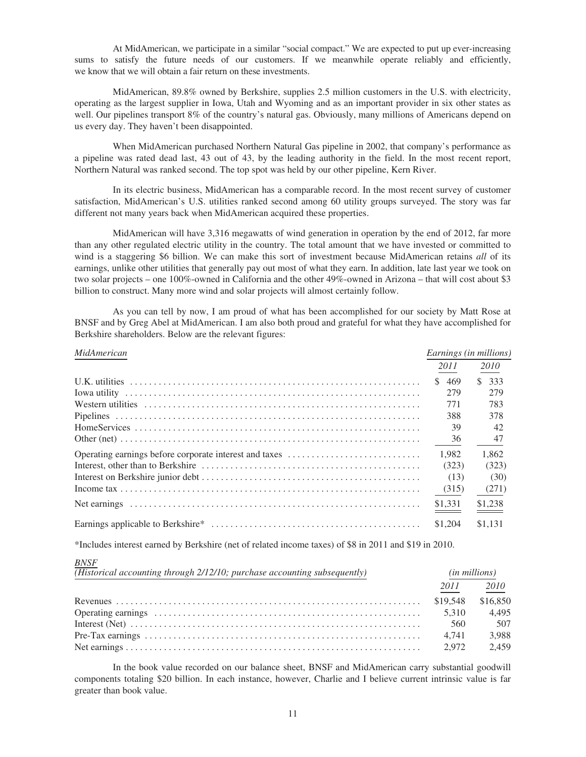At MidAmerican, we participate in a similar "social compact." We are expected to put up ever-increasing sums to satisfy the future needs of our customers. If we meanwhile operate reliably and efficiently, we know that we will obtain a fair return on these investments.

MidAmerican, 89.8% owned by Berkshire, supplies 2.5 million customers in the U.S. with electricity, operating as the largest supplier in Iowa, Utah and Wyoming and as an important provider in six other states as well. Our pipelines transport 8% of the country's natural gas. Obviously, many millions of Americans depend on us every day. They haven't been disappointed.

When MidAmerican purchased Northern Natural Gas pipeline in 2002, that company's performance as a pipeline was rated dead last, 43 out of 43, by the leading authority in the field. In the most recent report, Northern Natural was ranked second. The top spot was held by our other pipeline, Kern River.

In its electric business, MidAmerican has a comparable record. In the most recent survey of customer satisfaction, MidAmerican's U.S. utilities ranked second among 60 utility groups surveyed. The story was far different not many years back when MidAmerican acquired these properties.

MidAmerican will have 3,316 megawatts of wind generation in operation by the end of 2012, far more than any other regulated electric utility in the country. The total amount that we have invested or committed to wind is a staggering \$6 billion. We can make this sort of investment because MidAmerican retains *all* of its earnings, unlike other utilities that generally pay out most of what they earn. In addition, late last year we took on two solar projects – one 100%-owned in California and the other 49%-owned in Arizona – that will cost about \$3 billion to construct. Many more wind and solar projects will almost certainly follow.

As you can tell by now, I am proud of what has been accomplished for our society by Matt Rose at BNSF and by Greg Abel at MidAmerican. I am also both proud and grateful for what they have accomplished for Berkshire shareholders. Below are the relevant figures:

| MidAmerican | Earnings (in millions) |         |
|-------------|------------------------|---------|
|             | 2011                   | 2010    |
|             | \$469                  | \$333   |
|             | 279                    | 279     |
|             | 771                    | 783     |
|             | 388                    | 378     |
|             | 39                     | 42      |
|             | 36                     | 47      |
|             | 1.982                  | 1.862   |
|             | (323)                  | (323)   |
|             | (13)                   | (30)    |
|             | (315)                  | (271)   |
|             | \$1,331                | \$1,238 |
|             | \$1,204                | \$1,131 |

\*Includes interest earned by Berkshire (net of related income taxes) of \$8 in 2011 and \$19 in 2010.

*BNSF*

| $\overline{H}}$ (Historical accounting through 2/12/10; purchase accounting subsequently) |       | $(in\, millions)$ |  |
|-------------------------------------------------------------------------------------------|-------|-------------------|--|
|                                                                                           | 2011  | 2010              |  |
|                                                                                           |       | \$16,850          |  |
|                                                                                           |       | 4.495             |  |
|                                                                                           |       | 507               |  |
|                                                                                           | 4.741 | 3.988             |  |
|                                                                                           | 2.972 | 2.459             |  |

In the book value recorded on our balance sheet, BNSF and MidAmerican carry substantial goodwill components totaling \$20 billion. In each instance, however, Charlie and I believe current intrinsic value is far greater than book value.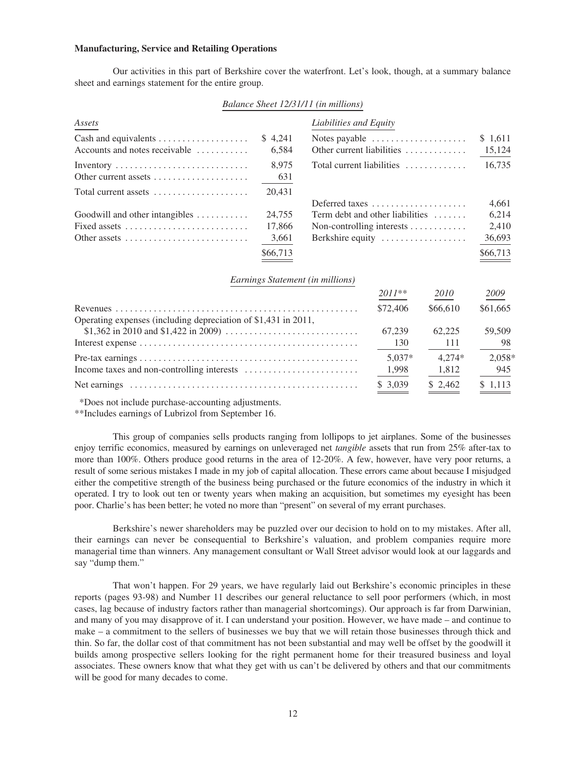#### **Manufacturing, Service and Retailing Operations**

Our activities in this part of Berkshire cover the waterfront. Let's look, though, at a summary balance sheet and earnings statement for the entire group.

| Assets                                                                                                                                                           |                                       | Liabilities and Equity                                                                                          |                    |                    |                                               |
|------------------------------------------------------------------------------------------------------------------------------------------------------------------|---------------------------------------|-----------------------------------------------------------------------------------------------------------------|--------------------|--------------------|-----------------------------------------------|
| Cash and equivalents<br>Accounts and notes receivable                                                                                                            | \$4,241<br>6,584                      | Notes payable<br>Other current liabilities                                                                      |                    |                    | \$1,611<br>15,124                             |
| Other current assets                                                                                                                                             | 8,975<br>631                          | Total current liabilities                                                                                       |                    |                    | 16,735                                        |
| Total current assets $\dots\dots\dots\dots\dots\dots\dots$                                                                                                       | 20,431                                |                                                                                                                 |                    |                    |                                               |
| Goodwill and other intangibles<br>Fixed assets                                                                                                                   | 24,755<br>17,866<br>3,661<br>\$66,713 | Deferred taxes<br>Term debt and other liabilities $\dots\dots$<br>Non-controlling interests<br>Berkshire equity |                    |                    | 4,661<br>6,214<br>2,410<br>36,693<br>\$66,713 |
|                                                                                                                                                                  |                                       | Earnings Statement (in millions)                                                                                | $2011**$           | <i>2010</i>        | 2009                                          |
| Operating expenses (including depreciation of \$1,431 in 2011,<br>\$1,362 in 2010 and \$1,422 in 2009) $\ldots \ldots \ldots \ldots \ldots \ldots \ldots \ldots$ |                                       |                                                                                                                 | \$72,406<br>67,239 | \$66,610<br>62,225 | \$61,665<br>59,509                            |
|                                                                                                                                                                  |                                       |                                                                                                                 | 130                | 111                | 98                                            |
|                                                                                                                                                                  |                                       |                                                                                                                 | $5.037*$<br>1,998  | $4.274*$<br>1,812  | $2,058*$<br>945                               |
|                                                                                                                                                                  |                                       |                                                                                                                 | \$3,039            | \$2,462            | \$1,113                                       |

\*Does not include purchase-accounting adjustments.

\*\*Includes earnings of Lubrizol from September 16.

This group of companies sells products ranging from lollipops to jet airplanes. Some of the businesses enjoy terrific economics, measured by earnings on unleveraged net *tangible* assets that run from 25% after-tax to more than 100%. Others produce good returns in the area of 12-20%. A few, however, have very poor returns, a result of some serious mistakes I made in my job of capital allocation. These errors came about because I misjudged either the competitive strength of the business being purchased or the future economics of the industry in which it operated. I try to look out ten or twenty years when making an acquisition, but sometimes my eyesight has been poor. Charlie's has been better; he voted no more than "present" on several of my errant purchases.

Berkshire's newer shareholders may be puzzled over our decision to hold on to my mistakes. After all, their earnings can never be consequential to Berkshire's valuation, and problem companies require more managerial time than winners. Any management consultant or Wall Street advisor would look at our laggards and say "dump them."

That won't happen. For 29 years, we have regularly laid out Berkshire's economic principles in these reports (pages 93-98) and Number 11 describes our general reluctance to sell poor performers (which, in most cases, lag because of industry factors rather than managerial shortcomings). Our approach is far from Darwinian, and many of you may disapprove of it. I can understand your position. However, we have made – and continue to make – a commitment to the sellers of businesses we buy that we will retain those businesses through thick and thin. So far, the dollar cost of that commitment has not been substantial and may well be offset by the goodwill it builds among prospective sellers looking for the right permanent home for their treasured business and loyal associates. These owners know that what they get with us can't be delivered by others and that our commitments will be good for many decades to come.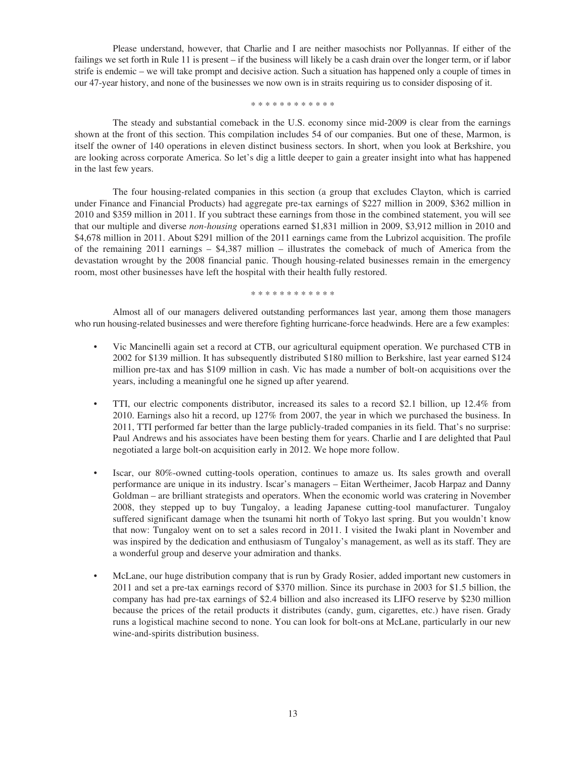Please understand, however, that Charlie and I are neither masochists nor Pollyannas. If either of the failings we set forth in Rule 11 is present – if the business will likely be a cash drain over the longer term, or if labor strife is endemic – we will take prompt and decisive action. Such a situation has happened only a couple of times in our 47-year history, and none of the businesses we now own is in straits requiring us to consider disposing of it.

#### \*\*\*\*\*\*\*\*\*\*\*\*

The steady and substantial comeback in the U.S. economy since mid-2009 is clear from the earnings shown at the front of this section. This compilation includes 54 of our companies. But one of these, Marmon, is itself the owner of 140 operations in eleven distinct business sectors. In short, when you look at Berkshire, you are looking across corporate America. So let's dig a little deeper to gain a greater insight into what has happened in the last few years.

The four housing-related companies in this section (a group that excludes Clayton, which is carried under Finance and Financial Products) had aggregate pre-tax earnings of \$227 million in 2009, \$362 million in 2010 and \$359 million in 2011. If you subtract these earnings from those in the combined statement, you will see that our multiple and diverse *non-housing* operations earned \$1,831 million in 2009, \$3,912 million in 2010 and \$4,678 million in 2011. About \$291 million of the 2011 earnings came from the Lubrizol acquisition. The profile of the remaining 2011 earnings – \$4,387 million – illustrates the comeback of much of America from the devastation wrought by the 2008 financial panic. Though housing-related businesses remain in the emergency room, most other businesses have left the hospital with their health fully restored.

#### \*\*\*\*\*\*\*\*\*\*\*\*

Almost all of our managers delivered outstanding performances last year, among them those managers who run housing-related businesses and were therefore fighting hurricane-force headwinds. Here are a few examples:

- Vic Mancinelli again set a record at CTB, our agricultural equipment operation. We purchased CTB in 2002 for \$139 million. It has subsequently distributed \$180 million to Berkshire, last year earned \$124 million pre-tax and has \$109 million in cash. Vic has made a number of bolt-on acquisitions over the years, including a meaningful one he signed up after yearend.
- TTI, our electric components distributor, increased its sales to a record \$2.1 billion, up 12.4% from 2010. Earnings also hit a record, up 127% from 2007, the year in which we purchased the business. In 2011, TTI performed far better than the large publicly-traded companies in its field. That's no surprise: Paul Andrews and his associates have been besting them for years. Charlie and I are delighted that Paul negotiated a large bolt-on acquisition early in 2012. We hope more follow.
- Iscar, our 80%-owned cutting-tools operation, continues to amaze us. Its sales growth and overall performance are unique in its industry. Iscar's managers – Eitan Wertheimer, Jacob Harpaz and Danny Goldman – are brilliant strategists and operators. When the economic world was cratering in November 2008, they stepped up to buy Tungaloy, a leading Japanese cutting-tool manufacturer. Tungaloy suffered significant damage when the tsunami hit north of Tokyo last spring. But you wouldn't know that now: Tungaloy went on to set a sales record in 2011. I visited the Iwaki plant in November and was inspired by the dedication and enthusiasm of Tungaloy's management, as well as its staff. They are a wonderful group and deserve your admiration and thanks.
- McLane, our huge distribution company that is run by Grady Rosier, added important new customers in 2011 and set a pre-tax earnings record of \$370 million. Since its purchase in 2003 for \$1.5 billion, the company has had pre-tax earnings of \$2.4 billion and also increased its LIFO reserve by \$230 million because the prices of the retail products it distributes (candy, gum, cigarettes, etc.) have risen. Grady runs a logistical machine second to none. You can look for bolt-ons at McLane, particularly in our new wine-and-spirits distribution business.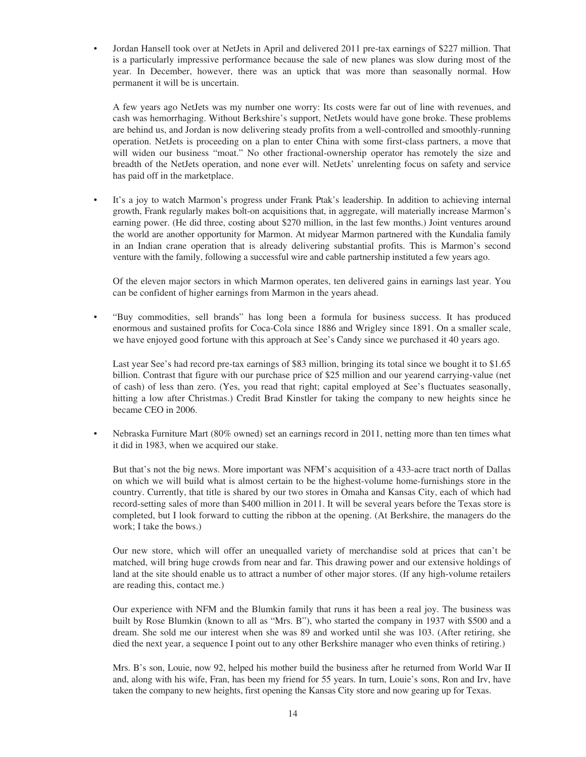• Jordan Hansell took over at NetJets in April and delivered 2011 pre-tax earnings of \$227 million. That is a particularly impressive performance because the sale of new planes was slow during most of the year. In December, however, there was an uptick that was more than seasonally normal. How permanent it will be is uncertain.

A few years ago NetJets was my number one worry: Its costs were far out of line with revenues, and cash was hemorrhaging. Without Berkshire's support, NetJets would have gone broke. These problems are behind us, and Jordan is now delivering steady profits from a well-controlled and smoothly-running operation. NetJets is proceeding on a plan to enter China with some first-class partners, a move that will widen our business "moat." No other fractional-ownership operator has remotely the size and breadth of the NetJets operation, and none ever will. NetJets' unrelenting focus on safety and service has paid off in the marketplace.

It's a joy to watch Marmon's progress under Frank Ptak's leadership. In addition to achieving internal growth, Frank regularly makes bolt-on acquisitions that, in aggregate, will materially increase Marmon's earning power. (He did three, costing about \$270 million, in the last few months.) Joint ventures around the world are another opportunity for Marmon. At midyear Marmon partnered with the Kundalia family in an Indian crane operation that is already delivering substantial profits. This is Marmon's second venture with the family, following a successful wire and cable partnership instituted a few years ago.

Of the eleven major sectors in which Marmon operates, ten delivered gains in earnings last year. You can be confident of higher earnings from Marmon in the years ahead.

• "Buy commodities, sell brands" has long been a formula for business success. It has produced enormous and sustained profits for Coca-Cola since 1886 and Wrigley since 1891. On a smaller scale, we have enjoyed good fortune with this approach at See's Candy since we purchased it 40 years ago.

Last year See's had record pre-tax earnings of \$83 million, bringing its total since we bought it to \$1.65 billion. Contrast that figure with our purchase price of \$25 million and our yearend carrying-value (net of cash) of less than zero. (Yes, you read that right; capital employed at See's fluctuates seasonally, hitting a low after Christmas.) Credit Brad Kinstler for taking the company to new heights since he became CEO in 2006.

• Nebraska Furniture Mart (80% owned) set an earnings record in 2011, netting more than ten times what it did in 1983, when we acquired our stake.

But that's not the big news. More important was NFM's acquisition of a 433-acre tract north of Dallas on which we will build what is almost certain to be the highest-volume home-furnishings store in the country. Currently, that title is shared by our two stores in Omaha and Kansas City, each of which had record-setting sales of more than \$400 million in 2011. It will be several years before the Texas store is completed, but I look forward to cutting the ribbon at the opening. (At Berkshire, the managers do the work; I take the bows.)

Our new store, which will offer an unequalled variety of merchandise sold at prices that can't be matched, will bring huge crowds from near and far. This drawing power and our extensive holdings of land at the site should enable us to attract a number of other major stores. (If any high-volume retailers are reading this, contact me.)

Our experience with NFM and the Blumkin family that runs it has been a real joy. The business was built by Rose Blumkin (known to all as "Mrs. B"), who started the company in 1937 with \$500 and a dream. She sold me our interest when she was 89 and worked until she was 103. (After retiring, she died the next year, a sequence I point out to any other Berkshire manager who even thinks of retiring.)

Mrs. B's son, Louie, now 92, helped his mother build the business after he returned from World War II and, along with his wife, Fran, has been my friend for 55 years. In turn, Louie's sons, Ron and Irv, have taken the company to new heights, first opening the Kansas City store and now gearing up for Texas.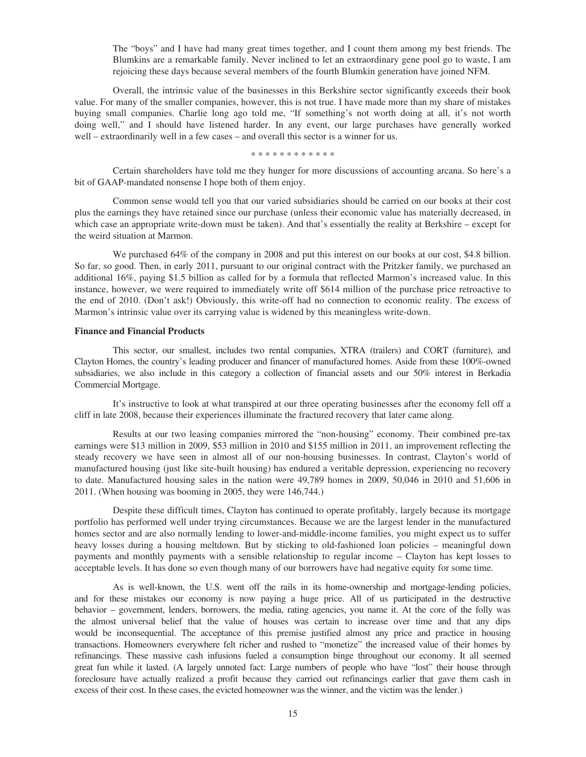The "boys" and I have had many great times together, and I count them among my best friends. The Blumkins are a remarkable family. Never inclined to let an extraordinary gene pool go to waste, I am rejoicing these days because several members of the fourth Blumkin generation have joined NFM.

Overall, the intrinsic value of the businesses in this Berkshire sector significantly exceeds their book value. For many of the smaller companies, however, this is not true. I have made more than my share of mistakes buying small companies. Charlie long ago told me, "If something's not worth doing at all, it's not worth doing well," and I should have listened harder. In any event, our large purchases have generally worked well – extraordinarily well in a few cases – and overall this sector is a winner for us.

\*\*\*\*\*\*\*\*\*\*\*\*

Certain shareholders have told me they hunger for more discussions of accounting arcana. So here's a bit of GAAP-mandated nonsense I hope both of them enjoy.

Common sense would tell you that our varied subsidiaries should be carried on our books at their cost plus the earnings they have retained since our purchase (unless their economic value has materially decreased, in which case an appropriate write-down must be taken). And that's essentially the reality at Berkshire – except for the weird situation at Marmon.

We purchased 64% of the company in 2008 and put this interest on our books at our cost, \$4.8 billion. So far, so good. Then, in early 2011, pursuant to our original contract with the Pritzker family, we purchased an additional 16%, paying \$1.5 billion as called for by a formula that reflected Marmon's increased value. In this instance, however, we were required to immediately write off \$614 million of the purchase price retroactive to the end of 2010. (Don't ask!) Obviously, this write-off had no connection to economic reality. The excess of Marmon's intrinsic value over its carrying value is widened by this meaningless write-down.

# **Finance and Financial Products**

This sector, our smallest, includes two rental companies, XTRA (trailers) and CORT (furniture), and Clayton Homes, the country's leading producer and financer of manufactured homes. Aside from these 100%-owned subsidiaries, we also include in this category a collection of financial assets and our 50% interest in Berkadia Commercial Mortgage.

It's instructive to look at what transpired at our three operating businesses after the economy fell off a cliff in late 2008, because their experiences illuminate the fractured recovery that later came along.

Results at our two leasing companies mirrored the "non-housing" economy. Their combined pre-tax earnings were \$13 million in 2009, \$53 million in 2010 and \$155 million in 2011, an improvement reflecting the steady recovery we have seen in almost all of our non-housing businesses. In contrast, Clayton's world of manufactured housing (just like site-built housing) has endured a veritable depression, experiencing no recovery to date. Manufactured housing sales in the nation were 49,789 homes in 2009, 50,046 in 2010 and 51,606 in 2011. (When housing was booming in 2005, they were 146,744.)

Despite these difficult times, Clayton has continued to operate profitably, largely because its mortgage portfolio has performed well under trying circumstances. Because we are the largest lender in the manufactured homes sector and are also normally lending to lower-and-middle-income families, you might expect us to suffer heavy losses during a housing meltdown. But by sticking to old-fashioned loan policies – meaningful down payments and monthly payments with a sensible relationship to regular income – Clayton has kept losses to acceptable levels. It has done so even though many of our borrowers have had negative equity for some time.

As is well-known, the U.S. went off the rails in its home-ownership and mortgage-lending policies, and for these mistakes our economy is now paying a huge price. All of us participated in the destructive behavior – government, lenders, borrowers, the media, rating agencies, you name it. At the core of the folly was the almost universal belief that the value of houses was certain to increase over time and that any dips would be inconsequential. The acceptance of this premise justified almost any price and practice in housing transactions. Homeowners everywhere felt richer and rushed to "monetize" the increased value of their homes by refinancings. These massive cash infusions fueled a consumption binge throughout our economy. It all seemed great fun while it lasted. (A largely unnoted fact: Large numbers of people who have "lost" their house through foreclosure have actually realized a profit because they carried out refinancings earlier that gave them cash in excess of their cost. In these cases, the evicted homeowner was the winner, and the victim was the lender.)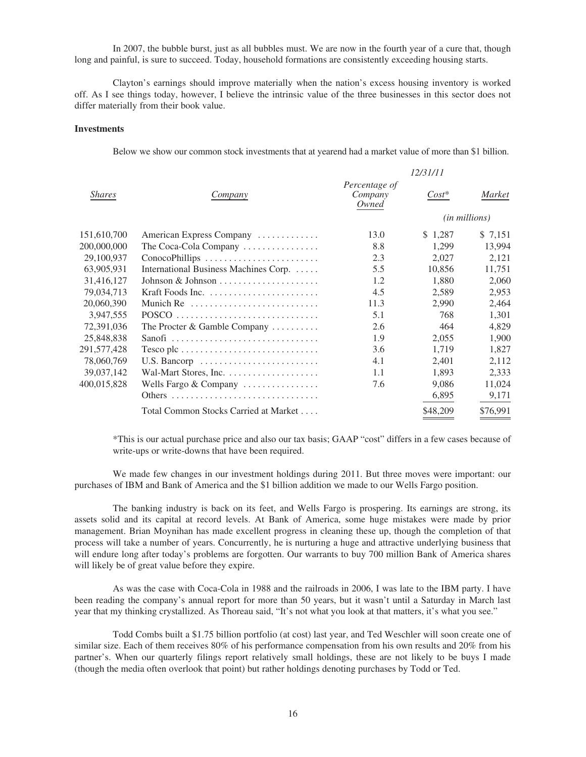In 2007, the bubble burst, just as all bubbles must. We are now in the fourth year of a cure that, though long and painful, is sure to succeed. Today, household formations are consistently exceeding housing starts.

Clayton's earnings should improve materially when the nation's excess housing inventory is worked off. As I see things today, however, I believe the intrinsic value of the three businesses in this sector does not differ materially from their book value.

#### **Investments**

Below we show our common stock investments that at yearend had a market value of more than \$1 billion.

|               |                                       | 12/31/11                          |                        |          |  |
|---------------|---------------------------------------|-----------------------------------|------------------------|----------|--|
| <i>Shares</i> | Company                               | Percentage of<br>Company<br>Owned | $Cost^*$               | Market   |  |
|               |                                       |                                   | ( <i>in millions</i> ) |          |  |
| 151,610,700   | American Express Company              | 13.0                              | \$1,287                | \$ 7,151 |  |
| 200,000,000   | The Coca-Cola Company                 | 8.8                               | 1,299                  | 13,994   |  |
| 29,100,937    | ConocoPhillips                        | 2.3                               | 2,027                  | 2,121    |  |
| 63,905,931    | International Business Machines Corp. | 5.5                               | 10,856                 | 11,751   |  |
| 31,416,127    | Johnson & Johnson                     | 1.2                               | 1,880                  | 2,060    |  |
| 79,034,713    |                                       | 4.5                               | 2,589                  | 2,953    |  |
| 20,060,390    | Munich Re                             | 11.3                              | 2,990                  | 2,464    |  |
| 3,947,555     | POSCO                                 | 5.1                               | 768                    | 1,301    |  |
| 72,391,036    | The Procter & Gamble Company          | 2.6                               | 464                    | 4,829    |  |
| 25,848,838    |                                       | 1.9                               | 2,055                  | 1,900    |  |
| 291,577,428   |                                       | 3.6                               | 1,719                  | 1,827    |  |
| 78,060,769    | U.S. Bancorp                          | 4.1                               | 2,401                  | 2,112    |  |
| 39,037,142    |                                       | 1.1                               | 1,893                  | 2,333    |  |
| 400,015,828   | Wells Fargo & Company                 | 7.6                               | 9,086                  | 11,024   |  |
|               |                                       |                                   | 6,895                  | 9,171    |  |
|               | Total Common Stocks Carried at Market |                                   | \$48,209               | \$76,991 |  |

\*This is our actual purchase price and also our tax basis; GAAP "cost" differs in a few cases because of write-ups or write-downs that have been required.

We made few changes in our investment holdings during 2011. But three moves were important: our purchases of IBM and Bank of America and the \$1 billion addition we made to our Wells Fargo position.

The banking industry is back on its feet, and Wells Fargo is prospering. Its earnings are strong, its assets solid and its capital at record levels. At Bank of America, some huge mistakes were made by prior management. Brian Moynihan has made excellent progress in cleaning these up, though the completion of that process will take a number of years. Concurrently, he is nurturing a huge and attractive underlying business that will endure long after today's problems are forgotten. Our warrants to buy 700 million Bank of America shares will likely be of great value before they expire.

As was the case with Coca-Cola in 1988 and the railroads in 2006, I was late to the IBM party. I have been reading the company's annual report for more than 50 years, but it wasn't until a Saturday in March last year that my thinking crystallized. As Thoreau said, "It's not what you look at that matters, it's what you see."

Todd Combs built a \$1.75 billion portfolio (at cost) last year, and Ted Weschler will soon create one of similar size. Each of them receives 80% of his performance compensation from his own results and 20% from his partner's. When our quarterly filings report relatively small holdings, these are not likely to be buys I made (though the media often overlook that point) but rather holdings denoting purchases by Todd or Ted.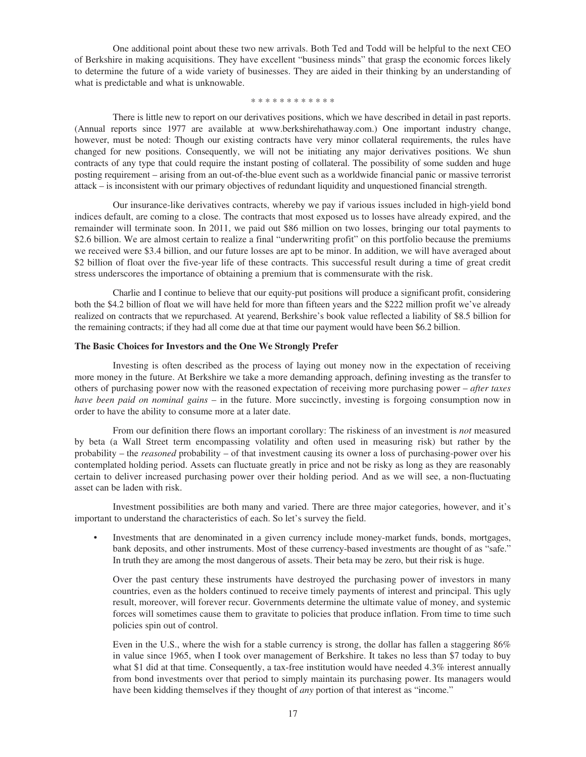One additional point about these two new arrivals. Both Ted and Todd will be helpful to the next CEO of Berkshire in making acquisitions. They have excellent "business minds" that grasp the economic forces likely to determine the future of a wide variety of businesses. They are aided in their thinking by an understanding of what is predictable and what is unknowable.

### \*\*\*\*\*\*\*\*\*\*\*\*

There is little new to report on our derivatives positions, which we have described in detail in past reports. (Annual reports since 1977 are available at www.berkshirehathaway.com.) One important industry change, however, must be noted: Though our existing contracts have very minor collateral requirements, the rules have changed for new positions. Consequently, we will not be initiating any major derivatives positions. We shun contracts of any type that could require the instant posting of collateral. The possibility of some sudden and huge posting requirement – arising from an out-of-the-blue event such as a worldwide financial panic or massive terrorist attack – is inconsistent with our primary objectives of redundant liquidity and unquestioned financial strength.

Our insurance-like derivatives contracts, whereby we pay if various issues included in high-yield bond indices default, are coming to a close. The contracts that most exposed us to losses have already expired, and the remainder will terminate soon. In 2011, we paid out \$86 million on two losses, bringing our total payments to \$2.6 billion. We are almost certain to realize a final "underwriting profit" on this portfolio because the premiums we received were \$3.4 billion, and our future losses are apt to be minor. In addition, we will have averaged about \$2 billion of float over the five-year life of these contracts. This successful result during a time of great credit stress underscores the importance of obtaining a premium that is commensurate with the risk.

Charlie and I continue to believe that our equity-put positions will produce a significant profit, considering both the \$4.2 billion of float we will have held for more than fifteen years and the \$222 million profit we've already realized on contracts that we repurchased. At yearend, Berkshire's book value reflected a liability of \$8.5 billion for the remaining contracts; if they had all come due at that time our payment would have been \$6.2 billion.

#### **The Basic Choices for Investors and the One We Strongly Prefer**

Investing is often described as the process of laying out money now in the expectation of receiving more money in the future. At Berkshire we take a more demanding approach, defining investing as the transfer to others of purchasing power now with the reasoned expectation of receiving more purchasing power – *after taxes have been paid on nominal gains* – in the future. More succinctly, investing is forgoing consumption now in order to have the ability to consume more at a later date.

From our definition there flows an important corollary: The riskiness of an investment is *not* measured by beta (a Wall Street term encompassing volatility and often used in measuring risk) but rather by the probability – the *reasoned* probability – of that investment causing its owner a loss of purchasing-power over his contemplated holding period. Assets can fluctuate greatly in price and not be risky as long as they are reasonably certain to deliver increased purchasing power over their holding period. And as we will see, a non-fluctuating asset can be laden with risk.

Investment possibilities are both many and varied. There are three major categories, however, and it's important to understand the characteristics of each. So let's survey the field.

• Investments that are denominated in a given currency include money-market funds, bonds, mortgages, bank deposits, and other instruments. Most of these currency-based investments are thought of as "safe." In truth they are among the most dangerous of assets. Their beta may be zero, but their risk is huge.

Over the past century these instruments have destroyed the purchasing power of investors in many countries, even as the holders continued to receive timely payments of interest and principal. This ugly result, moreover, will forever recur. Governments determine the ultimate value of money, and systemic forces will sometimes cause them to gravitate to policies that produce inflation. From time to time such policies spin out of control.

Even in the U.S., where the wish for a stable currency is strong, the dollar has fallen a staggering 86% in value since 1965, when I took over management of Berkshire. It takes no less than \$7 today to buy what \$1 did at that time. Consequently, a tax-free institution would have needed 4.3% interest annually from bond investments over that period to simply maintain its purchasing power. Its managers would have been kidding themselves if they thought of *any* portion of that interest as "income."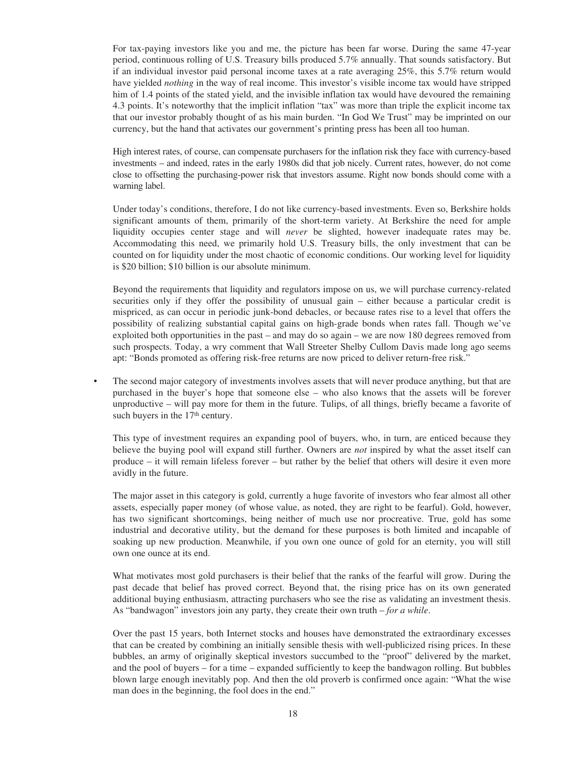For tax-paying investors like you and me, the picture has been far worse. During the same 47-year period, continuous rolling of U.S. Treasury bills produced 5.7% annually. That sounds satisfactory. But if an individual investor paid personal income taxes at a rate averaging 25%, this 5.7% return would have yielded *nothing* in the way of real income. This investor's visible income tax would have stripped him of 1.4 points of the stated yield, and the invisible inflation tax would have devoured the remaining 4.3 points. It's noteworthy that the implicit inflation "tax" was more than triple the explicit income tax that our investor probably thought of as his main burden. "In God We Trust" may be imprinted on our currency, but the hand that activates our government's printing press has been all too human.

High interest rates, of course, can compensate purchasers for the inflation risk they face with currency-based investments – and indeed, rates in the early 1980s did that job nicely. Current rates, however, do not come close to offsetting the purchasing-power risk that investors assume. Right now bonds should come with a warning label.

Under today's conditions, therefore, I do not like currency-based investments. Even so, Berkshire holds significant amounts of them, primarily of the short-term variety. At Berkshire the need for ample liquidity occupies center stage and will *never* be slighted, however inadequate rates may be. Accommodating this need, we primarily hold U.S. Treasury bills, the only investment that can be counted on for liquidity under the most chaotic of economic conditions. Our working level for liquidity is \$20 billion; \$10 billion is our absolute minimum.

Beyond the requirements that liquidity and regulators impose on us, we will purchase currency-related securities only if they offer the possibility of unusual gain – either because a particular credit is mispriced, as can occur in periodic junk-bond debacles, or because rates rise to a level that offers the possibility of realizing substantial capital gains on high-grade bonds when rates fall. Though we've exploited both opportunities in the past – and may do so again – we are now 180 degrees removed from such prospects. Today, a wry comment that Wall Streeter Shelby Cullom Davis made long ago seems apt: "Bonds promoted as offering risk-free returns are now priced to deliver return-free risk."

The second major category of investments involves assets that will never produce anything, but that are purchased in the buyer's hope that someone else – who also knows that the assets will be forever unproductive – will pay more for them in the future. Tulips, of all things, briefly became a favorite of such buyers in the 17<sup>th</sup> century.

This type of investment requires an expanding pool of buyers, who, in turn, are enticed because they believe the buying pool will expand still further. Owners are *not* inspired by what the asset itself can produce – it will remain lifeless forever – but rather by the belief that others will desire it even more avidly in the future.

The major asset in this category is gold, currently a huge favorite of investors who fear almost all other assets, especially paper money (of whose value, as noted, they are right to be fearful). Gold, however, has two significant shortcomings, being neither of much use nor procreative. True, gold has some industrial and decorative utility, but the demand for these purposes is both limited and incapable of soaking up new production. Meanwhile, if you own one ounce of gold for an eternity, you will still own one ounce at its end.

What motivates most gold purchasers is their belief that the ranks of the fearful will grow. During the past decade that belief has proved correct. Beyond that, the rising price has on its own generated additional buying enthusiasm, attracting purchasers who see the rise as validating an investment thesis. As "bandwagon" investors join any party, they create their own truth – *for a while*.

Over the past 15 years, both Internet stocks and houses have demonstrated the extraordinary excesses that can be created by combining an initially sensible thesis with well-publicized rising prices. In these bubbles, an army of originally skeptical investors succumbed to the "proof" delivered by the market, and the pool of buyers – for a time – expanded sufficiently to keep the bandwagon rolling. But bubbles blown large enough inevitably pop. And then the old proverb is confirmed once again: "What the wise man does in the beginning, the fool does in the end."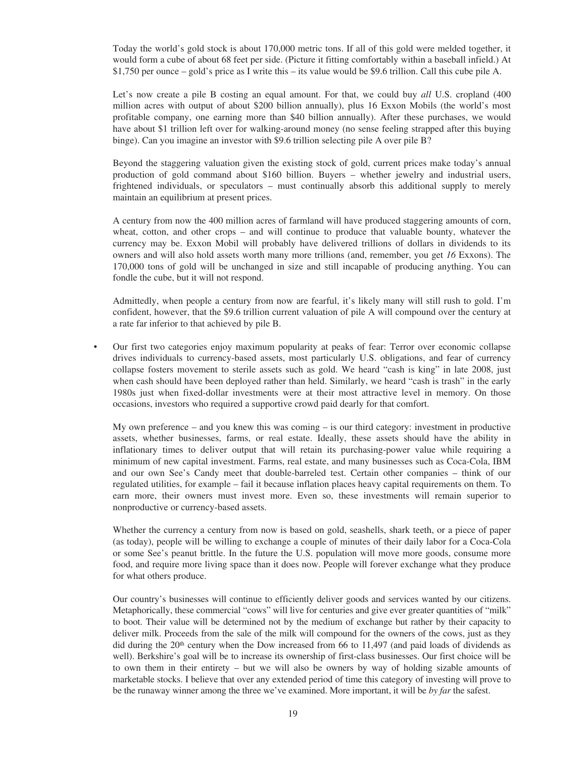Today the world's gold stock is about 170,000 metric tons. If all of this gold were melded together, it would form a cube of about 68 feet per side. (Picture it fitting comfortably within a baseball infield.) At \$1,750 per ounce – gold's price as I write this – its value would be \$9.6 trillion. Call this cube pile A.

Let's now create a pile B costing an equal amount. For that, we could buy *all* U.S. cropland (400 million acres with output of about \$200 billion annually), plus 16 Exxon Mobils (the world's most profitable company, one earning more than \$40 billion annually). After these purchases, we would have about \$1 trillion left over for walking-around money (no sense feeling strapped after this buying binge). Can you imagine an investor with \$9.6 trillion selecting pile A over pile B?

Beyond the staggering valuation given the existing stock of gold, current prices make today's annual production of gold command about \$160 billion. Buyers – whether jewelry and industrial users, frightened individuals, or speculators – must continually absorb this additional supply to merely maintain an equilibrium at present prices.

A century from now the 400 million acres of farmland will have produced staggering amounts of corn, wheat, cotton, and other crops – and will continue to produce that valuable bounty, whatever the currency may be. Exxon Mobil will probably have delivered trillions of dollars in dividends to its owners and will also hold assets worth many more trillions (and, remember, you get *16* Exxons). The 170,000 tons of gold will be unchanged in size and still incapable of producing anything. You can fondle the cube, but it will not respond.

Admittedly, when people a century from now are fearful, it's likely many will still rush to gold. I'm confident, however, that the \$9.6 trillion current valuation of pile A will compound over the century at a rate far inferior to that achieved by pile B.

• Our first two categories enjoy maximum popularity at peaks of fear: Terror over economic collapse drives individuals to currency-based assets, most particularly U.S. obligations, and fear of currency collapse fosters movement to sterile assets such as gold. We heard "cash is king" in late 2008, just when cash should have been deployed rather than held. Similarly, we heard "cash is trash" in the early 1980s just when fixed-dollar investments were at their most attractive level in memory. On those occasions, investors who required a supportive crowd paid dearly for that comfort.

My own preference – and you knew this was coming – is our third category: investment in productive assets, whether businesses, farms, or real estate. Ideally, these assets should have the ability in inflationary times to deliver output that will retain its purchasing-power value while requiring a minimum of new capital investment. Farms, real estate, and many businesses such as Coca-Cola, IBM and our own See's Candy meet that double-barreled test. Certain other companies – think of our regulated utilities, for example – fail it because inflation places heavy capital requirements on them. To earn more, their owners must invest more. Even so, these investments will remain superior to nonproductive or currency-based assets.

Whether the currency a century from now is based on gold, seashells, shark teeth, or a piece of paper (as today), people will be willing to exchange a couple of minutes of their daily labor for a Coca-Cola or some See's peanut brittle. In the future the U.S. population will move more goods, consume more food, and require more living space than it does now. People will forever exchange what they produce for what others produce.

Our country's businesses will continue to efficiently deliver goods and services wanted by our citizens. Metaphorically, these commercial "cows" will live for centuries and give ever greater quantities of "milk" to boot. Their value will be determined not by the medium of exchange but rather by their capacity to deliver milk. Proceeds from the sale of the milk will compound for the owners of the cows, just as they did during the  $20<sup>th</sup>$  century when the Dow increased from 66 to 11,497 (and paid loads of dividends as well). Berkshire's goal will be to increase its ownership of first-class businesses. Our first choice will be to own them in their entirety – but we will also be owners by way of holding sizable amounts of marketable stocks. I believe that over any extended period of time this category of investing will prove to be the runaway winner among the three we've examined. More important, it will be *by far* the safest.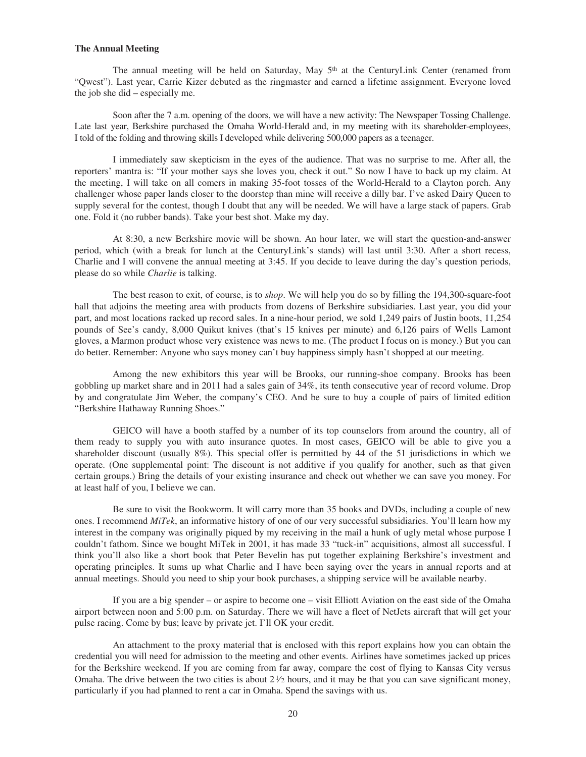#### **The Annual Meeting**

The annual meeting will be held on Saturday, May  $5<sup>th</sup>$  at the CenturyLink Center (renamed from "Qwest"). Last year, Carrie Kizer debuted as the ringmaster and earned a lifetime assignment. Everyone loved the job she did – especially me.

Soon after the 7 a.m. opening of the doors, we will have a new activity: The Newspaper Tossing Challenge. Late last year, Berkshire purchased the Omaha World-Herald and, in my meeting with its shareholder-employees, I told of the folding and throwing skills I developed while delivering 500,000 papers as a teenager.

I immediately saw skepticism in the eyes of the audience. That was no surprise to me. After all, the reporters' mantra is: "If your mother says she loves you, check it out." So now I have to back up my claim. At the meeting, I will take on all comers in making 35-foot tosses of the World-Herald to a Clayton porch. Any challenger whose paper lands closer to the doorstep than mine will receive a dilly bar. I've asked Dairy Queen to supply several for the contest, though I doubt that any will be needed. We will have a large stack of papers. Grab one. Fold it (no rubber bands). Take your best shot. Make my day.

At 8:30, a new Berkshire movie will be shown. An hour later, we will start the question-and-answer period, which (with a break for lunch at the CenturyLink's stands) will last until 3:30. After a short recess, Charlie and I will convene the annual meeting at 3:45. If you decide to leave during the day's question periods, please do so while *Charlie* is talking.

The best reason to exit, of course, is to *shop*. We will help you do so by filling the 194,300-square-foot hall that adjoins the meeting area with products from dozens of Berkshire subsidiaries. Last year, you did your part, and most locations racked up record sales. In a nine-hour period, we sold 1,249 pairs of Justin boots, 11,254 pounds of See's candy, 8,000 Quikut knives (that's 15 knives per minute) and 6,126 pairs of Wells Lamont gloves, a Marmon product whose very existence was news to me. (The product I focus on is money.) But you can do better. Remember: Anyone who says money can't buy happiness simply hasn't shopped at our meeting.

Among the new exhibitors this year will be Brooks, our running-shoe company. Brooks has been gobbling up market share and in 2011 had a sales gain of 34%, its tenth consecutive year of record volume. Drop by and congratulate Jim Weber, the company's CEO. And be sure to buy a couple of pairs of limited edition "Berkshire Hathaway Running Shoes."

GEICO will have a booth staffed by a number of its top counselors from around the country, all of them ready to supply you with auto insurance quotes. In most cases, GEICO will be able to give you a shareholder discount (usually 8%). This special offer is permitted by 44 of the 51 jurisdictions in which we operate. (One supplemental point: The discount is not additive if you qualify for another, such as that given certain groups.) Bring the details of your existing insurance and check out whether we can save you money. For at least half of you, I believe we can.

Be sure to visit the Bookworm. It will carry more than 35 books and DVDs, including a couple of new ones. I recommend *MiTek*, an informative history of one of our very successful subsidiaries. You'll learn how my interest in the company was originally piqued by my receiving in the mail a hunk of ugly metal whose purpose I couldn't fathom. Since we bought MiTek in 2001, it has made 33 "tuck-in" acquisitions, almost all successful. I think you'll also like a short book that Peter Bevelin has put together explaining Berkshire's investment and operating principles. It sums up what Charlie and I have been saying over the years in annual reports and at annual meetings. Should you need to ship your book purchases, a shipping service will be available nearby.

If you are a big spender – or aspire to become one – visit Elliott Aviation on the east side of the Omaha airport between noon and 5:00 p.m. on Saturday. There we will have a fleet of NetJets aircraft that will get your pulse racing. Come by bus; leave by private jet. I'll OK your credit.

An attachment to the proxy material that is enclosed with this report explains how you can obtain the credential you will need for admission to the meeting and other events. Airlines have sometimes jacked up prices for the Berkshire weekend. If you are coming from far away, compare the cost of flying to Kansas City versus Omaha. The drive between the two cities is about  $2\frac{1}{2}$  hours, and it may be that you can save significant money, particularly if you had planned to rent a car in Omaha. Spend the savings with us.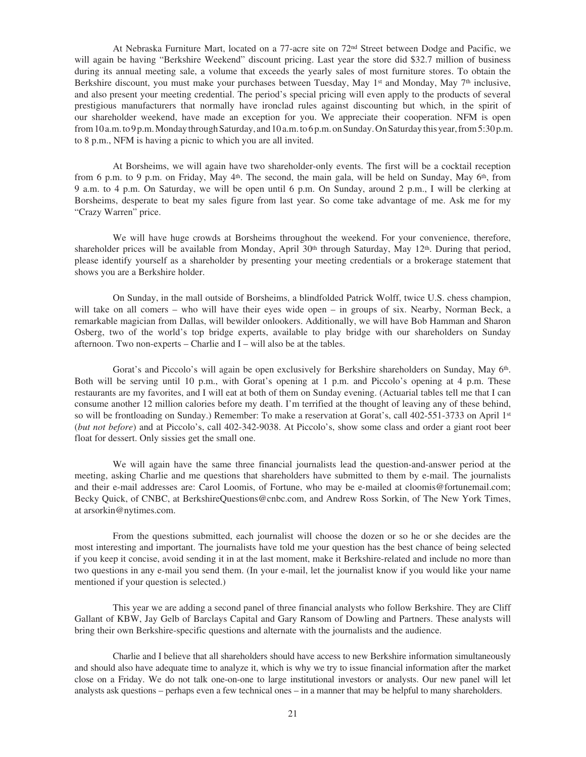At Nebraska Furniture Mart, located on a 77-acre site on 72nd Street between Dodge and Pacific, we will again be having "Berkshire Weekend" discount pricing. Last year the store did \$32.7 million of business during its annual meeting sale, a volume that exceeds the yearly sales of most furniture stores. To obtain the Berkshire discount, you must make your purchases between Tuesday, May 1<sup>st</sup> and Monday, May 7<sup>th</sup> inclusive, and also present your meeting credential. The period's special pricing will even apply to the products of several prestigious manufacturers that normally have ironclad rules against discounting but which, in the spirit of our shareholder weekend, have made an exception for you. We appreciate their cooperation. NFM is open from 10 a.m. to 9 p.m. Monday through Saturday, and 10 a.m. to 6 p.m. on Sunday. On Saturday this year, from 5:30 p.m. to 8 p.m., NFM is having a picnic to which you are all invited.

At Borsheims, we will again have two shareholder-only events. The first will be a cocktail reception from 6 p.m. to 9 p.m. on Friday, May  $4<sup>th</sup>$ . The second, the main gala, will be held on Sunday, May  $6<sup>th</sup>$ , from 9 a.m. to 4 p.m. On Saturday, we will be open until 6 p.m. On Sunday, around 2 p.m., I will be clerking at Borsheims, desperate to beat my sales figure from last year. So come take advantage of me. Ask me for my "Crazy Warren" price.

We will have huge crowds at Borsheims throughout the weekend. For your convenience, therefore, shareholder prices will be available from Monday, April 30<sup>th</sup> through Saturday, May 12<sup>th</sup>. During that period, please identify yourself as a shareholder by presenting your meeting credentials or a brokerage statement that shows you are a Berkshire holder.

On Sunday, in the mall outside of Borsheims, a blindfolded Patrick Wolff, twice U.S. chess champion, will take on all comers – who will have their eyes wide open – in groups of six. Nearby, Norman Beck, a remarkable magician from Dallas, will bewilder onlookers. Additionally, we will have Bob Hamman and Sharon Osberg, two of the world's top bridge experts, available to play bridge with our shareholders on Sunday afternoon. Two non-experts – Charlie and I – will also be at the tables.

Gorat's and Piccolo's will again be open exclusively for Berkshire shareholders on Sunday, May 6th. Both will be serving until 10 p.m., with Gorat's opening at 1 p.m. and Piccolo's opening at 4 p.m. These restaurants are my favorites, and I will eat at both of them on Sunday evening. (Actuarial tables tell me that I can consume another 12 million calories before my death. I'm terrified at the thought of leaving any of these behind, so will be frontloading on Sunday.) Remember: To make a reservation at Gorat's, call 402-551-3733 on April 1<sup>st</sup> (*but not before*) and at Piccolo's, call 402-342-9038. At Piccolo's, show some class and order a giant root beer float for dessert. Only sissies get the small one.

We will again have the same three financial journalists lead the question-and-answer period at the meeting, asking Charlie and me questions that shareholders have submitted to them by e-mail. The journalists and their e-mail addresses are: Carol Loomis, of Fortune, who may be e-mailed at cloomis@fortunemail.com; Becky Quick, of CNBC, at BerkshireQuestions@cnbc.com, and Andrew Ross Sorkin, of The New York Times, at arsorkin@nytimes.com.

From the questions submitted, each journalist will choose the dozen or so he or she decides are the most interesting and important. The journalists have told me your question has the best chance of being selected if you keep it concise, avoid sending it in at the last moment, make it Berkshire-related and include no more than two questions in any e-mail you send them. (In your e-mail, let the journalist know if you would like your name mentioned if your question is selected.)

This year we are adding a second panel of three financial analysts who follow Berkshire. They are Cliff Gallant of KBW, Jay Gelb of Barclays Capital and Gary Ransom of Dowling and Partners. These analysts will bring their own Berkshire-specific questions and alternate with the journalists and the audience.

Charlie and I believe that all shareholders should have access to new Berkshire information simultaneously and should also have adequate time to analyze it, which is why we try to issue financial information after the market close on a Friday. We do not talk one-on-one to large institutional investors or analysts. Our new panel will let analysts ask questions – perhaps even a few technical ones – in a manner that may be helpful to many shareholders.